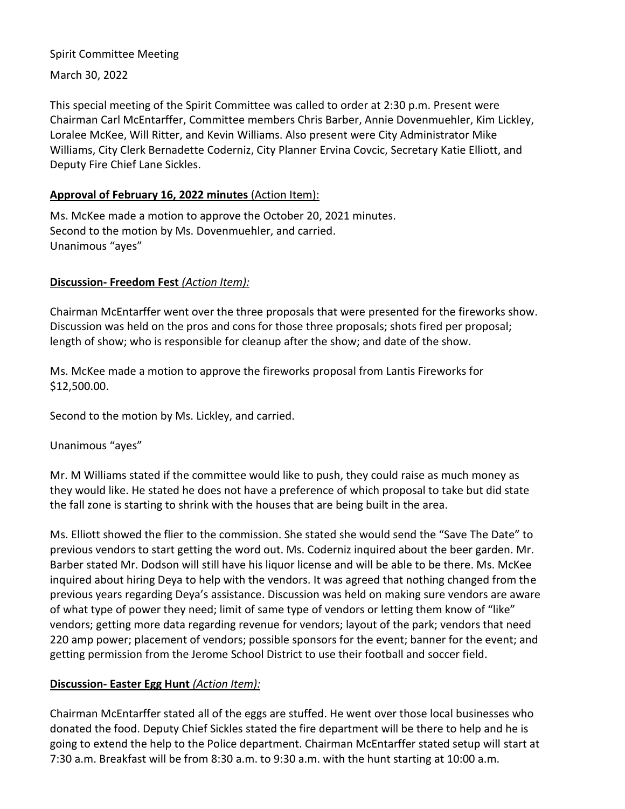### Spirit Committee Meeting

March 30, 2022

This special meeting of the Spirit Committee was called to order at 2:30 p.m. Present were Chairman Carl McEntarffer, Committee members Chris Barber, Annie Dovenmuehler, Kim Lickley, Loralee McKee, Will Ritter, and Kevin Williams. Also present were City Administrator Mike Williams, City Clerk Bernadette Coderniz, City Planner Ervina Covcic, Secretary Katie Elliott, and Deputy Fire Chief Lane Sickles.

## **Approval of February 16, 2022 minutes** (Action Item):

Ms. McKee made a motion to approve the October 20, 2021 minutes. Second to the motion by Ms. Dovenmuehler, and carried. Unanimous "ayes"

## **Discussion- Freedom Fest** *(Action Item):*

Chairman McEntarffer went over the three proposals that were presented for the fireworks show. Discussion was held on the pros and cons for those three proposals; shots fired per proposal; length of show; who is responsible for cleanup after the show; and date of the show.

Ms. McKee made a motion to approve the fireworks proposal from Lantis Fireworks for \$12,500.00.

Second to the motion by Ms. Lickley, and carried.

Unanimous "ayes"

Mr. M Williams stated if the committee would like to push, they could raise as much money as they would like. He stated he does not have a preference of which proposal to take but did state the fall zone is starting to shrink with the houses that are being built in the area.

Ms. Elliott showed the flier to the commission. She stated she would send the "Save The Date" to previous vendors to start getting the word out. Ms. Coderniz inquired about the beer garden. Mr. Barber stated Mr. Dodson will still have his liquor license and will be able to be there. Ms. McKee inquired about hiring Deya to help with the vendors. It was agreed that nothing changed from the previous years regarding Deya's assistance. Discussion was held on making sure vendors are aware of what type of power they need; limit of same type of vendors or letting them know of "like" vendors; getting more data regarding revenue for vendors; layout of the park; vendors that need 220 amp power; placement of vendors; possible sponsors for the event; banner for the event; and getting permission from the Jerome School District to use their football and soccer field.

# **Discussion- Easter Egg Hunt** *(Action Item):*

Chairman McEntarffer stated all of the eggs are stuffed. He went over those local businesses who donated the food. Deputy Chief Sickles stated the fire department will be there to help and he is going to extend the help to the Police department. Chairman McEntarffer stated setup will start at 7:30 a.m. Breakfast will be from 8:30 a.m. to 9:30 a.m. with the hunt starting at 10:00 a.m.